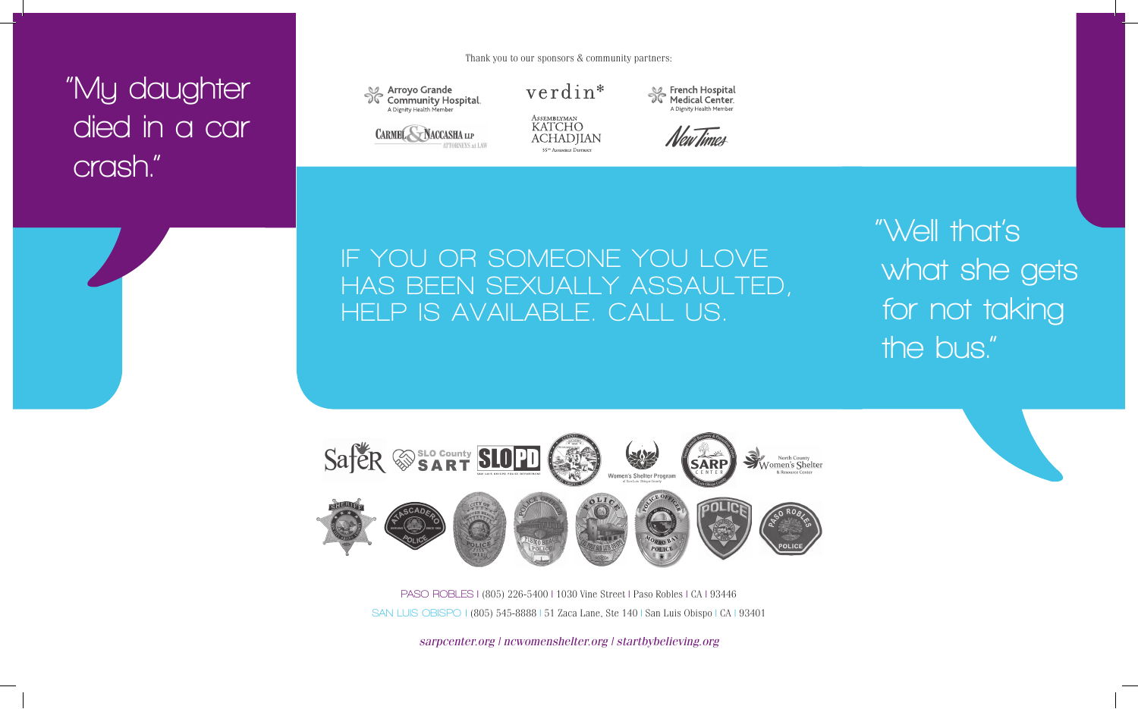## **"My daughter died in a car crash."**



Se Arroyo Grande **Community Hospital** A Dignity Health Membe



verdin\*



A Dignity Health Membe New Times

French Hospital

Medical Center



**"Well that's what she gets for not taking the bus."**



**PASO ROBLES** | (805) 226-5400 | 1030 Vine Street | Paso Robles | CA | 93446 **SAN LUIS OBISPO** | (805) 545-8888 | 51 Zaca Lane, Ste 140 | San Luis Obispo | CA | 93401

*sarpcenter.org | ncwomenshelter.org | startbybelieving.org*